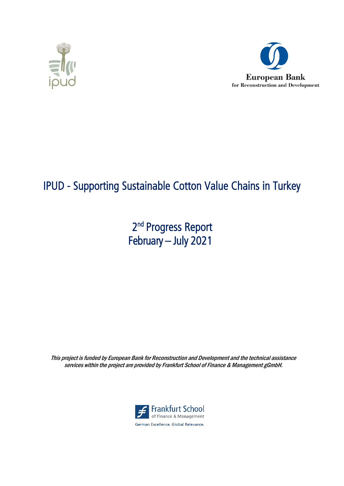



# IPUD - Supporting Sustainable Cotton Value Chains in Turkey

2<sup>nd</sup> Progress Report February – July 2021

 services within the project are provided by Frankfurt School of Finance & Management gGmbH.This project is funded by European Bank for Reconstruction and Development and the technical assistance

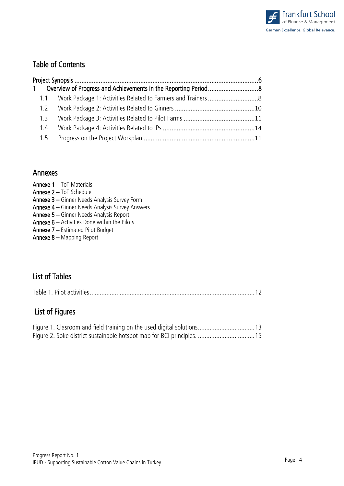

# Table of Contents

| $\mathbf{1}$ |                   |
|--------------|-------------------|
|              |                   |
|              |                   |
|              |                   |
| 1.4          |                   |
|              |                   |
|              | 1.2<br>1.3<br>1.5 |

## Annexes

- Annexe 1 ToT Materials Annexe 2 – ToT Schedule Annexe 3 – Ginner Needs Analysis Survey Form Annexe 4 – Ginner Needs Analysis Survey Answers Annexe 5 – Ginner Needs Analysis Report Annexe 6 – Activities Done within the Pilots Annexe 7 – Estimated Pilot Budget
- Annexe 8 Mapping Report

# List of Tables

| <b>TII</b> |  |  |  |
|------------|--|--|--|
|------------|--|--|--|

# List of Figures

| Figure 1. Clasroom and field training on the used digital solutions 13  |  |
|-------------------------------------------------------------------------|--|
| Figure 2. Soke district sustainable hotspot map for BCI principles.  15 |  |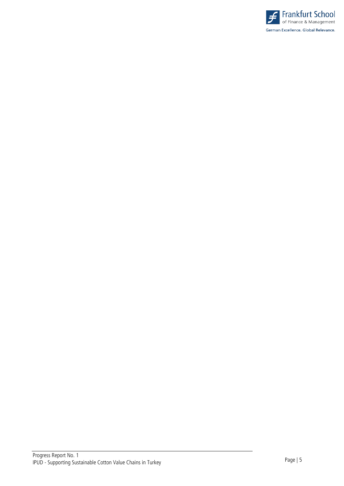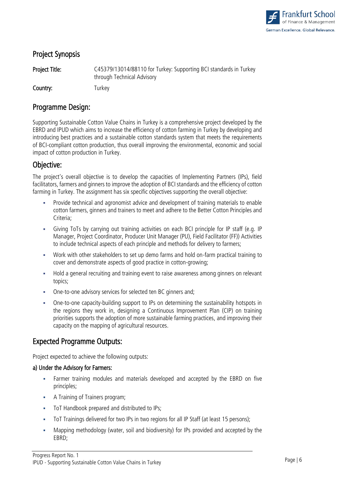

# <span id="page-3-0"></span>Project Synopsis

| Project Title: | C45379/13014/88110 for Turkey: Supporting BCI standards in Turkey<br>through Technical Advisory |
|----------------|-------------------------------------------------------------------------------------------------|
| Country:       | Turkey                                                                                          |

# Programme Design:

Supporting Sustainable Cotton Value Chains in Turkey is a comprehensive project developed by the EBRD and IPUD which aims to increase the efficiency of cotton farming in Turkey by developing and introducing best practices and a sustainable cotton standards system that meets the requirements of BCI-compliant cotton production, thus overall improving the environmental, economic and social impact of cotton production in Turkey.

# Objective:

The project's overall objective is to develop the capacities of Implementing Partners (IPs), field facilitators, farmers and ginners to improve the adoption of BCI standards and the efficiency of cotton farming in Turkey. The assignment has six specific objectives supporting the overall objective:

- Provide technical and agronomist advice and development of training materials to enable cotton farmers, ginners and trainers to meet and adhere to the Better Cotton Principles and Criteria;
- Giving ToTs by carrying out training activities on each BCI principle for IP staff (e.g. IP Manager, Project Coordinator, Producer Unit Manager (PU), Field Facilitator (FF)) Activities to include technical aspects of each principle and methods for delivery to farmers;
- Work with other stakeholders to set up demo farms and hold on-farm practical training to cover and demonstrate aspects of good practice in cotton-growing;
- Hold a general recruiting and training event to raise awareness among ginners on relevant topics;
- One-to-one advisory services for selected ten BC ginners and;
- One-to-one capacity-building support to IPs on determining the sustainability hotspots in the regions they work in, designing a Continuous Improvement Plan (CIP) on training priorities supports the adoption of more sustainable farming practices, and improving their capacity on the mapping of agricultural resources.

# Expected Programme Outputs:

Project expected to achieve the following outputs:

### a) Under the Advisory for Farmers:

- Farmer training modules and materials developed and accepted by the EBRD on five principles;
- A Training of Trainers program;
- ToT Handbook prepared and distributed to IPs;
- ToT Trainings delivered for two IPs in two regions for all IP Staff (at least 15 persons);
- Mapping methodology (water, soil and biodiversity) for IPs provided and accepted by the EBRD;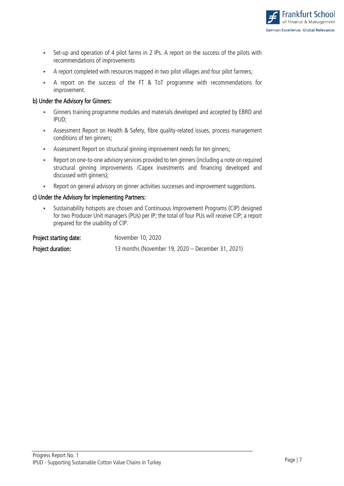

- Set-up and operation of 4 pilot farms in 2 IPs. A report on the success of the pilots with recommendations of improvements
- A report completed with resources mapped in two pilot villages and four pilot farmers;
- A report on the success of the FT & ToT programme with recommendations for improvement.

#### b) Under the Advisory for Ginners:

- Ginners training programme modules and materials developed and accepted by EBRD and IPUD;
- **EXEDENT** Assessment Report on Health & Safety, fibre quality-related issues, process management conditions of ten ginners;
- **EXECT:** Assessment Report on structural ginning improvement needs for ten ginners;
- Report on one-to-one advisory services provided to ten ginners (including a note on required structural ginning improvements /Capex investments and financing developed and discussed with ginners);
- Report on general advisory on ginner activities successes and improvement suggestions.

#### c) Under the Advisory for Implementing Partners:

▪ Sustainability hotspots are chosen and Continuous Improvement Programs (CIP) designed for two Producer Unit managers (PUs) per IP; the total of four PUs will receive CIP; a report prepared for the usability of CIP.

| Project starting date: | November 10, 2020                                 |
|------------------------|---------------------------------------------------|
| Project duration:      | 13 months (November 19, 2020 – December 31, 2021) |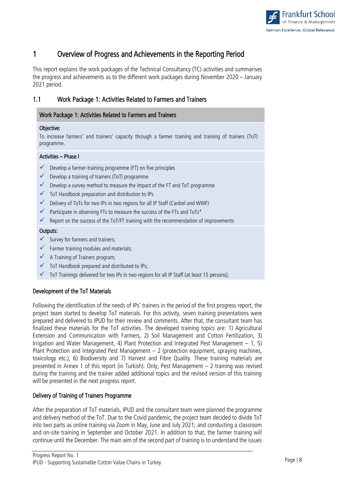

# <span id="page-5-0"></span>1 Overview of Progress and Achievements in the Reporting Period

This report explains the work packages of the Technical Consultancy (TC) activities and summarises the progress and achievements as to the different work packages during November 2020 – January 2021 period.

### <span id="page-5-1"></span>1.1 Work Package 1: Activities Related to Farmers and Trainers

#### Work Package 1: Activities Related to Farmers and Trainers

#### Objective:

To increase farmers' and trainers' capacity through a farmer training and training of trainers (ToT) programme.

#### Activities – Phase I

- $\checkmark$  Develop a farmer-training programme (FT) on five principles
- $\checkmark$  Develop a training of trainers (ToT) programme
- $\checkmark$  Develop a survey method to measure the impact of the FT and ToT programme
- $\checkmark$  ToT Handbook preparation and distribution to IPs
- Delivery of ToTs for two IPs in two regions for all IP Staff (Canbel and WWF)
- $\checkmark$  Participate in observing FTs to measure the success of the FTs and ToTs\*
- $\checkmark$  Report on the success of the ToT/FT training with the recommendation of improvements

#### Outputs:

- $\checkmark$  Survey for farmers and trainers;
- $\checkmark$  Farmer training modules and materials;
- $\checkmark$  A Training of Trainers program;
- $\checkmark$  ToT Handbook prepared and distributed to IPs;
- $\checkmark$  ToT Trainings delivered for two IPs in two regions for all IP Staff (at least 15 persons);

#### Development of the ToT Materials

Following the identification of the needs of IPs' trainers in the period of the first progress report, the project team started to develop ToT materials. For this activity, seven training presentations were prepared and delivered to IPUD for their review and comments. After that, the consultant team has finalized these materials for the ToT activities. The developed training topics are: 1) Agricultural Extension and Communication with Farmers, 2) Soil Management and Cotton Fertilization, 3) Irrigation and Water Management, 4) Plant Protection and Integrated Pest Management – 1, 5) Plant Protection and Integrated Pest Management  $-2$  (protection equipment, spraying machines, toxicology etc.), 6) Biodiversity and 7) Harvest and Fibre Quality. These training materials are presented in Annex 1 of this report (in Turkish). Only, Pest Management – 2 training was revised during the training and the trainer added additional topics and the revised version of this training will be presented in the next progress report.

#### Delivery of Training of Trainers Programme

After the preparation of ToT materials, IPUD and the consultant team were planned the programme and delivery method of the ToT. Due to the Covid pandemic, the project team decided to divide ToT into two parts as online training via Zoom in May, June and July 2021; and conducting a classroom and on-site training in September and October 2021. In addition to that, the farmer training will continue until the December. The main aim of the second part of training is to understand the issues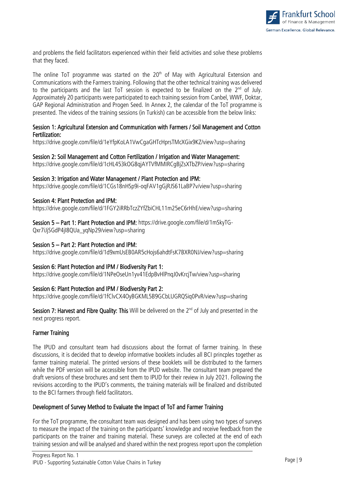

and problems the field facilitators experienced within their field activities and solve these problems that they faced.

The online ToT programme was started on the  $20<sup>th</sup>$  of May with Agricultural Extension and Communications with the Farmers training. Following that the other technical training was delivered to the participants and the last ToT session is expected to be finalized on the 2<sup>nd</sup> of July. Approximately 20 participants were participated to each training session from Canbel, WWF, Doktar, GAP Regional Administration and Progen Seed. In Annex 2, the calendar of the ToT programme is presented. The videos of the training sessions (in Turkish) can be accessible from the below links:

#### Session 1: Agricultural Extension and Communication with Farmers / Soil Management and Cotton Fertilization:

<https://drive.google.com/file/d/1eYfpKoLA1VwCgaGHTcHprsTMcXGix9KZ/view?usp=sharing>

#### Session 2: Soil Management and Cotton Fertilization / Irrigation and Water Management:

<https://drive.google.com/file/d/1cHL453kOG8qjAYTVfMMIRCgBjZsXTbZP/view?usp=sharing>

#### Session 3: Irrigation and Water Management / Plant Protection and IPM:

<https://drive.google.com/file/d/1CGs18nHSp9i-oqFAV1gGjRJS61LaBP7v/view?usp=sharing>

#### Session 4: Plant Protection and IPM:

<https://drive.google.com/file/d/1FGY2iRRbTczZYfZbiCHL11m25eC6rHhE/view?usp=sharing>

Session 5 – Part 1: Plant Protection and IPM[: https://drive.google.com/file/d/1mSkyTG-](https://drive.google.com/file/d/1mSkyTG-Qxr7iJjSGdP4jI8QUa_yqNp29/view?usp=sharing)[Qxr7iJjSGdP4jI8QUa\\_yqNp29/view?usp=sharing](https://drive.google.com/file/d/1mSkyTG-Qxr7iJjSGdP4jI8QUa_yqNp29/view?usp=sharing)

#### Session 5 – Part 2: Plant Protection and IPM:

<https://drive.google.com/file/d/1d9xmUsEB0AR5cHojs6ahdtFsK7BXR0NJ/view?usp=sharing>

#### Session 6: Plant Protection and IPM / Biodiversity Part 1:

<https://drive.google.com/file/d/1NPeOseUn1yv41EdpBvHlPnqJ0vKrcjTw/view?usp=sharing>

#### Session 6: Plant Protection and IPM / Biodiversity Part 2:

<https://drive.google.com/file/d/1fClvCX4OyBGKML5B9GCbLUGRQSiq0PvR/view?usp=sharing>

Session 7: Harvest and Fibre Quality: This Will be delivered on the  $2^{nd}$  of July and presented in the next progress report.

#### Farmer Training

The IPUD and consultant team had discussions about the format of farmer training. In these discussions, it is decided that to develop informative booklets includes all BCI princples together as farmer training material. The printed versions of these booklets will be distributed to the farmers while the PDF version will be accessible from the IPUD website. The consultant team prepared the draft versions of these brochures and sent them to IPUD for their review in July 2021. Following the revisions according to the IPUD's comments, the training materials will be finalized and distributed to the BCI farmers through field facilitators.

#### Development of Survey Method to Evaluate the Impact of ToT and Farmer Training

For the ToT programme, the consultant team was designed and has been using two types of surveys to measure the impact of the training on the participants' knowledge and receive feedback from the participants on the trainer and training material. These surveys are collected at the end of each training session and will be analysed and shared within the next progress report upon the completion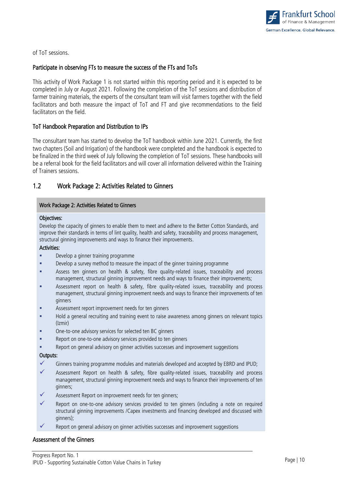

of ToT sessions.

#### Participate in observing FTs to measure the success of the FTs and ToTs

This activity of Work Package 1 is not started within this reporting period and it is expected to be completed in July or August 2021. Following the completion of the ToT sessions and distribution of farmer training materials, the experts of the consultant team will visit farmers together with the field facilitators and both measure the impact of ToT and FT and give recommendations to the field facilitators on the field.

#### ToT Handbook Preparation and Distribution to IPs

The consultant team has started to develop the ToT handbook within June 2021. Currently, the first two chapters (Soil and Irrigation) of the handbook were completed and the handbook is expected to be finalized in the third week of July following the completion of ToT sessions. These handbooks will be a referral book for the field facilitators and will cover all information delivered within the Training of Trainers sessions.

### <span id="page-7-0"></span>1.2 Work Package 2: Activities Related to Ginners

#### Work Package 2: Activities Related to Ginners

#### Objectives:

Develop the capacity of ginners to enable them to meet and adhere to the Better Cotton Standards, and improve their standards in terms of lint quality, health and safety, traceability and process management, structural ginning improvements and ways to finance their improvements.

#### Activities:

- Develop a ginner training programme
- Develop a survey method to measure the impact of the ginner training programme
- Assess ten ginners on health & safety, fibre quality-related issues, traceability and process management, structural ginning improvement needs and ways to finance their improvements;
- Assessment report on health & safety, fibre quality-related issues, traceability and process management, structural ginning improvement needs and ways to finance their improvements of ten ginners
- Assessment report improvement needs for ten ginners
- Hold a general recruiting and training event to raise awareness among ginners on relevant topics (Izmir)
- One-to-one advisory services for selected ten BC ginners
- Report on one-to-one advisory services provided to ten ginners
- Report on general advisory on ginner activities successes and improvement suggestions

#### Outputs:

- $\checkmark$  Ginners training programme modules and materials developed and accepted by EBRD and IPUD;
- ✓ Assessment Report on health & safety, fibre quality-related issues, traceability and process management, structural ginning improvement needs and ways to finance their improvements of ten ginners;
- Assessment Report on improvement needs for ten ginners;
- Report on one-to-one advisory services provided to ten ginners (including a note on required structural ginning improvements /Capex investments and financing developed and discussed with ginners);
- Report on general advisory on ginner activities successes and improvement suggestions

#### Assessment of the Ginners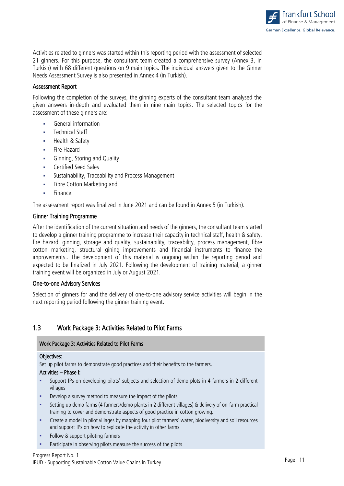

Activities related to ginners was started within this reporting period with the assessment of selected 21 ginners. For this purpose, the consultant team created a comprehensive survey (Annex 3, in Turkish) with 68 different questions on 9 main topics. The individual answers given to the Ginner Needs Assessment Survey is also presented in Annex 4 (in Turkish).

#### Assessment Report

Following the completion of the surveys, the ginning experts of the consultant team analysed the given answers in-depth and evaluated them in nine main topics. The selected topics for the assessment of these ginners are:

- General information
- Technical Staff
- Health & Safety
- **Exercise** Fire Hazard
- Ginning, Storing and Quality
- Certified Seed Sales
- Sustainability, Traceability and Process Management
- Fibre Cotton Marketing and
- Finance.

The assessment report was finalized in June 2021 and can be found in Annex 5 (in Turkish).

#### Ginner Training Programme

After the identification of the current situation and needs of the ginners, the consultant team started to develop a ginner training programme to increase their capacity in technical staff, health & safety, fire hazard, ginning, storage and quality, sustainability, traceability, process management, fibre cotton marketing, structural gining improvements and financial instruments to finance the improvements.. The development of this material is ongoing within the reporting period and expected to be finalized in July 2021. Following the development of training material, a ginner training event will be organized in July or August 2021.

#### One-to-one Advisory Services

Selection of ginners for and the delivery of one-to-one advisory service activities will begin in the next reporting period following the ginner training event.

### <span id="page-8-0"></span>1.3 Work Package 3: Activities Related to Pilot Farms

#### Work Package 3: Activities Related to Pilot Farms

#### Objectives:

Set up pilot farms to demonstrate good practices and their benefits to the farmers.

#### Activities – Phase I:

- Support IPs on developing pilots' subjects and selection of demo plots in 4 farmers in 2 different villages
- Develop a survey method to measure the impact of the pilots
- Setting up demo farms (4 farmers/demo plants in 2 different villages) & delivery of on-farm practical training to cover and demonstrate aspects of good practice in cotton growing.
- Create a model in pilot villages by mapping four pilot farmers' water, biodiversity and soil resources and support IPs on how to replicate the activity in other farms
- Follow & support piloting farmers
- Participate in observing pilots measure the success of the pilots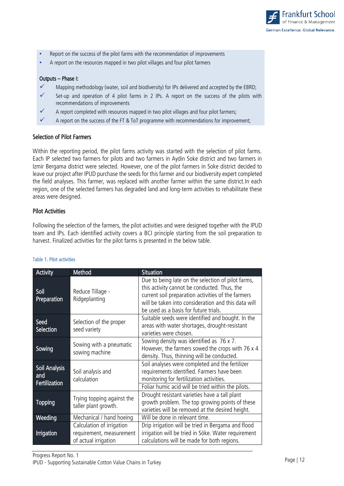

- Report on the success of the pilot farms with the recommendation of improvements
- A report on the resources mapped in two pilot villages and four pilot farmers

#### Outputs – Phase I:

- $\checkmark$  Mapping methodology (water, soil and biodiversity) for IPs delivered and accepted by the EBRD;
- ✓ Set-up and operation of 4 pilot farms in 2 IPs. A report on the success of the pilots with recommendations of improvements
- A report completed with resources mapped in two pilot villages and four pilot farmers;
- $\checkmark$  A report on the success of the FT & ToT programme with recommendations for improvement;

#### Selection of Pilot Farmers

Within the reporting period, the pilot farms activity was started with the selection of pilot farms. Each IP selected two farmers for pilots and two farmers in Aydin Soke district and two farmers in Izmir Bergama district were selected. However, one of the pilot farmers in Soke district decided to leave our project after IPUD purchase the seeds for this farmer and our biodiversity expert completed the field analyses. This farmer, was replaced with another farmer within the same district.In each region, one of the selected farmers has degraded land and long-term activities to rehabilitate these areas were designed.

#### Pilot Activities

Following the selection of the farmers, the pilot activities and were designed together with the IPUD team and IPs. Each identified activity covers a BCI principle starting from the soil preparation to harvest. Finalized activities for the pilot farms is presented in the below table.

| <b>Activity</b>                              | Method                                                                        | <b>Situation</b>                                                                                                                                                                                                                                         |
|----------------------------------------------|-------------------------------------------------------------------------------|----------------------------------------------------------------------------------------------------------------------------------------------------------------------------------------------------------------------------------------------------------|
| Soil<br>Preparation                          | Reduce Tillage -<br>Ridgeplanting                                             | Due to being late on the selection of pilot farms,<br>this activity cannot be conducted. Thus, the<br>current soil preparation activities of the farmers<br>will be taken into consideration and this data will<br>be used as a basis for future trials. |
| Seed<br>Selection                            | Selection of the proper<br>seed variety                                       | Suitable seeds were identified and bought. In the<br>areas with water shortages, drought-resistant<br>varieties were chosen.                                                                                                                             |
| Sowing                                       | Sowing with a pneumatic<br>sowing machine                                     | Sowing density was identified as 76 x 7.<br>However, the farmers sowed the crops with 76 x 4<br>density. Thus, thinning will be conducted.                                                                                                               |
| Soil Analysis<br>and<br><b>Fertilization</b> | Soil analysis and<br>calculation                                              | Soil analyses were completed and the fertilizer<br>requirements identified. Farmers have been<br>monitoring for fertilization activities.<br>Foliar humic acid will be tried within the pilots.                                                          |
| <b>Topping</b>                               | Trying topping against the<br>taller plant growth.                            | Drought resistant varieties have a tall plant<br>growth problem. The top growing points of these<br>varieties will be removed at the desired height.                                                                                                     |
| Weeding                                      | Mechanical / hand hoeing                                                      | Will be done in relevant time.                                                                                                                                                                                                                           |
| <b>Irrigation</b>                            | Calculation of irrigation<br>requirement, measurement<br>of actual irrigation | Drip irrigation will be tried in Bergama and flood<br>irrigation will be tried in Söke. Water requirement<br>calculations will be made for both regions.                                                                                                 |

#### <span id="page-9-0"></span>Table 1. Pilot activities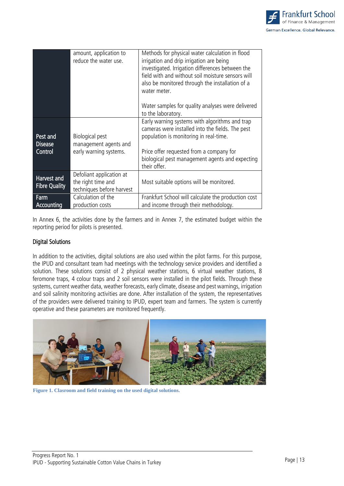

|                                     | amount, application to<br>reduce the water use.                             | Methods for physical water calculation in flood<br>irrigation and drip irrigation are being<br>investigated. Irrigation differences between the<br>field with and without soil moisture sensors will |
|-------------------------------------|-----------------------------------------------------------------------------|------------------------------------------------------------------------------------------------------------------------------------------------------------------------------------------------------|
|                                     |                                                                             | also be monitored through the installation of a<br>water meter.                                                                                                                                      |
|                                     |                                                                             | Water samples for quality analyses were delivered<br>to the laboratory.                                                                                                                              |
| Pest and<br><b>Disease</b>          | Biological pest<br>management agents and                                    | Early warning systems with algorithms and trap<br>cameras were installed into the fields. The pest<br>population is monitoring in real-time.                                                         |
| Control                             | early warning systems.                                                      | Price offer requested from a company for<br>biological pest management agents and expecting<br>their offer.                                                                                          |
| Harvest and<br><b>Fibre Quality</b> | Defoliant application at<br>the right time and<br>techniques before harvest | Most suitable options will be monitored.                                                                                                                                                             |
| Farm<br>Accounting                  | Calculation of the<br>production costs                                      | Frankfurt School will calculate the production cost<br>and income through their methodology.                                                                                                         |

In Annex 6, the activities done by the farmers and in Annex 7, the estimated budget within the reporting period for pilots is presented.

### Digital Solutions

In addition to the activities, digital solutions are also used within the pilot farms. For this purpose, the IPUD and consultant team had meetings with the technology service providers and identified a solution. These solutions consist of 2 physical weather stations, 6 virtual weather stations, 8 feromone traps, 4 colour traps and 2 soil sensors were installed in the pilot fields. Through these systems, current weather data, weather forecasts, early climate, disease and pest warnings, irrigation and soil salinity monitoring activities are done. After installation of the system, the representatives of the providers were delivered training to IPUD, expert team and farmers. The system is currently operative and these parameters are monitored frequently.



**Figure 1. Clasroom and field training on the used digital solutions.**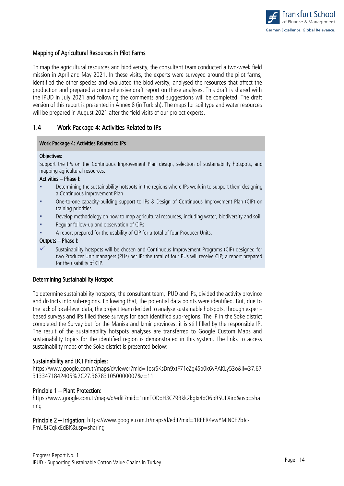

### Mapping of Agricultural Resources in Pilot Farms

To map the agricultural resources and biodiversity, the consultant team conducted a two-week field mission in April and May 2021. In these visits, the experts were surveyed around the pilot farms, identified the other species and evaluated the biodiversity, analysed the resources that affect the production and prepared a comprehensive draft report on these analyses. This draft is shared with the IPUD in July 2021 and following the comments and suggestions will be completed. The draft version of this report is presented in Annex 8 (in Turkish). The maps for soil type and water resources will be prepared in August 2021 after the field visits of our project experts.

### <span id="page-11-0"></span>1.4 Work Package 4: Activities Related to IPs

#### Work Package 4: Activities Related to IPs

#### Objectives:

Support the IPs on the Continuous Improvement Plan design, selection of sustainability hotspots, and mapping agricultural resources.

#### Activities – Phase I:

- Determining the sustainability hotspots in the regions where IPs work in to support them designing a Continuous Improvement Plan
- One-to-one capacity-building support to IPs & Design of Continuous Improvement Plan (CIP) on training priorities.
- Develop methodology on how to map agricultural resources, including water, biodiversity and soil
- Regular follow-up and observation of CIPs
- A report prepared for the usability of CIP for a total of four Producer Units.

#### Outputs – Phase I:

Sustainability hotspots will be chosen and Continuous Improvement Programs (CIP) designed for two Producer Unit managers (PUs) per IP; the total of four PUs will receive CIP; a report prepared for the usability of CIP.

#### Determining Sustainability Hotspot

To determine sustainability hotspots, the consultant team, IPUD and IPs, divided the activity province and districts into sub-regions. Following that, the potential data points were identified. But, due to the lack of local-level data, the project team decided to analyse sustainable hotspots, through expertbased surveys and IPs filled these surveys for each identified sub-regions. The IP in the Soke district completed the Survey but for the Manisa and Izmir provinces, it is still filled by the responsible IP. The result of the sustainability hotspots analyses are transferred to Google Custom Maps and sustainability topics for the identified region is demonstrated in this system. The links to access sustainability maps of the Soke district is presented below:

#### Sustainability and BCI Principles:

[https://www.google.com.tr/maps/d/viewer?mid=1osrSKsDn9xtF71eZg4Sb0k6yPAKLy53o&ll=37.67](https://www.google.com.tr/maps/d/viewer?mid=1osrSKsDn9xtF71eZg4Sb0k6yPAKLy53o&ll=37.673133471842405%2C27.367831050000007&z=11) [3133471842405%2C27.367831050000007&z=11](https://www.google.com.tr/maps/d/viewer?mid=1osrSKsDn9xtF71eZg4Sb0k6yPAKLy53o&ll=37.673133471842405%2C27.367831050000007&z=11)

#### Principle 1 – Plant Protection:

https://www.google.com.tr/maps/d/edit?mid=1nmTODoH3CZ9Bkk2kgIx4bO6pRSULXiro&usp=sha ring

Principle 2 – Irrigation: [https://www.google.com.tr/maps/d/edit?mid=1REER4vwYMIN0E2bJc-](https://www.google.com.tr/maps/d/edit?mid=1REER4vwYMIN0E2bJc-FrnU8tCqkxEdBK&usp=sharing)[FrnU8tCqkxEdBK&usp=sharing](https://www.google.com.tr/maps/d/edit?mid=1REER4vwYMIN0E2bJc-FrnU8tCqkxEdBK&usp=sharing)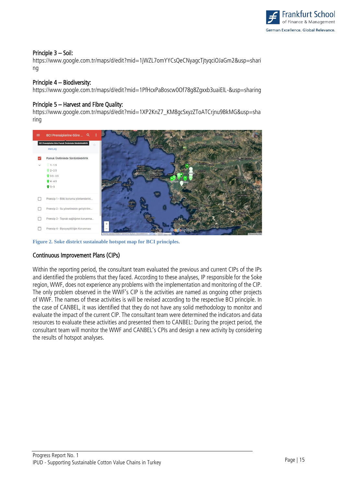

#### Principle 3 – Soil:

[https://www.google.com.tr/maps/d/edit?mid=1jWZL7omYYCsQeCNyagcTjtyqciOJaGm2&usp=shari](https://www.google.com.tr/maps/d/edit?mid=1jWZL7omYYCsQeCNyagcTjtyqciOJaGm2&usp=sharing) [ng](https://www.google.com.tr/maps/d/edit?mid=1jWZL7omYYCsQeCNyagcTjtyqciOJaGm2&usp=sharing)

#### Principle 4 – Biodiversity:

<https://www.google.com.tr/maps/d/edit?mid=1PfHcxPaBoscw0Of78g8Zgxxb3uaiElL-&usp=sharing>

#### Principle 5 – Harvest and Fibre Quality:

[https://www.google.com.tr/maps/d/edit?mid=1XP2KnZ7\\_KM8gcSxyzZToATCrjnu9BkMG&usp=sha](https://www.google.com.tr/maps/d/edit?mid=1XP2KnZ7_KM8gcSxyzZToATCrjnu9BkMG&usp=sharing) [ring](https://www.google.com.tr/maps/d/edit?mid=1XP2KnZ7_KM8gcSxyzZToATCrjnu9BkMG&usp=sharing)



**Figure 2. Soke district sustainable hotspot map for BCI principles.**

#### <span id="page-12-0"></span>Continuous Improvement Plans (CIPs)

Within the reporting period, the consultant team evaluated the previous and current CIPs of the IPs and identified the problems that they faced. According to these analyses, IP responsible for the Soke region, WWF, does not experience any problems with the implementation and monitoring of the CIP. The only problem observed in the WWF's CIP is the activities are named as ongoing other projects of WWF. The names of these activities is will be revised according to the respective BCI principle. In the case of CANBEL, it was identified that they do not have any solid methodology to monitor and evaluate the impact of the current CIP. The consultant team were determined the indicators and data resources to evaluate these activities and presented them to CANBEL: During the project period, the consultant team will monitor the WWF and CANBEL's CPIs and design a new activity by considering the results of hotspot analyses.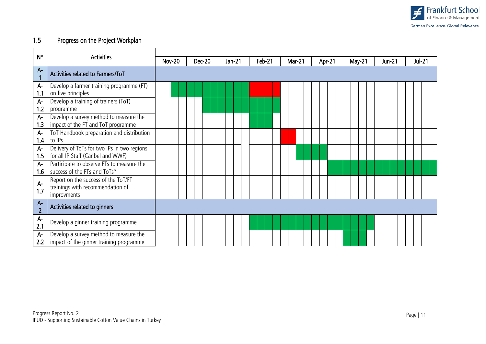# 1.5 Progress on the Project Workplan

<span id="page-13-0"></span>

| $N^{\circ}$             |                                                                                        |               |               |        |        |        |        |          |               |               |
|-------------------------|----------------------------------------------------------------------------------------|---------------|---------------|--------|--------|--------|--------|----------|---------------|---------------|
|                         | <b>Activities</b>                                                                      | <b>Nov-20</b> | <b>Dec-20</b> | Jan-21 | Feb-21 | Mar-21 | Apr-21 | $May-21$ | <b>Jun-21</b> | <b>Jul-21</b> |
| $\mathsf{A}$            | Activities related to Farmers/ToT                                                      |               |               |        |        |        |        |          |               |               |
| $A -$                   | Develop a farmer-training programme (FT)<br>on five principles                         |               |               |        |        |        |        |          |               |               |
| $A -$<br>1.2            | Develop a training of trainers (ToT)<br>programme                                      |               |               |        |        |        |        |          |               |               |
| $A -$<br>1.3            | Develop a survey method to measure the<br>impact of the FT and ToT programme           |               |               |        |        |        |        |          |               |               |
| $A -$<br>1.4            | ToT Handbook preparation and distribution<br>to IPs                                    |               |               |        |        |        |        |          |               |               |
| $A -$<br>1.5            | Delivery of ToTs for two IPs in two regions<br>for all IP Staff (Canbel and WWF)       |               |               |        |        |        |        |          |               |               |
| $A -$<br>1.6            | Participate to observe FTs to measure the<br>success of the FTs and ToTs*              |               |               |        |        |        |        |          |               |               |
| $A-$<br>1.7             | Report on the success of the ToT/FT<br>trainings with recommendation of<br>improvments |               |               |        |        |        |        |          |               |               |
| $A -$<br>$\overline{2}$ | Activities related to ginners                                                          |               |               |        |        |        |        |          |               |               |
| $A -$<br>2.1            | Develop a ginner training programme                                                    |               |               |        |        |        |        |          |               |               |
| $A -$<br>2.2            | Develop a survey method to measure the<br>impact of the ginner training programme      |               |               |        |        |        |        |          |               |               |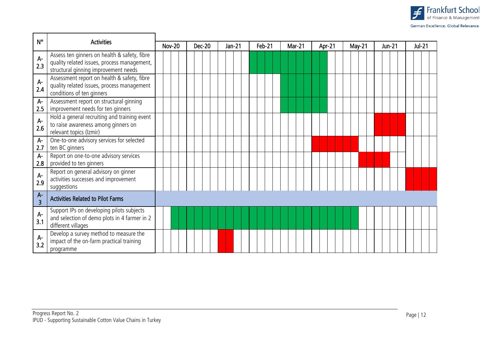| $N^{\circ}$             |                                                                                                                                     |               |               |          |  |        |  |        |  |        |          |  |          |  |  |          |  |
|-------------------------|-------------------------------------------------------------------------------------------------------------------------------------|---------------|---------------|----------|--|--------|--|--------|--|--------|----------|--|----------|--|--|----------|--|
|                         | <b>Activities</b>                                                                                                                   | <b>Nov-20</b> | <b>Dec-20</b> | $Jan-21$ |  | Feb-21 |  | Mar-21 |  | Apr-21 | $May-21$ |  | $Jun-21$ |  |  | $Jul-21$ |  |
| $A -$<br>2.3            | Assess ten ginners on health & safety, fibre<br>quality related issues, process management,<br>structural ginning improvement needs |               |               |          |  |        |  |        |  |        |          |  |          |  |  |          |  |
| $A -$<br>2.4            | Assessment report on health & safety, fibre<br>quality related issues, process management<br>conditions of ten ginners              |               |               |          |  |        |  |        |  |        |          |  |          |  |  |          |  |
| $A -$<br>2.5            | Assessment report on structural ginning<br>improvement needs for ten ginners                                                        |               |               |          |  |        |  |        |  |        |          |  |          |  |  |          |  |
| $A -$<br>2.6            | Hold a general recruiting and training event<br>to raise awareness among ginners on<br>relevant topics (Izmir)                      |               |               |          |  |        |  |        |  |        |          |  |          |  |  |          |  |
| A-<br>2.7               | One-to-one advisory services for selected<br>ten BC ginners                                                                         |               |               |          |  |        |  |        |  |        |          |  |          |  |  |          |  |
| $A -$<br>2.8            | Report on one-to-one advisory services<br>provided to ten ginners                                                                   |               |               |          |  |        |  |        |  |        |          |  |          |  |  |          |  |
| $A -$<br>2.9            | Report on general advisory on ginner<br>activities successes and improvement<br>suggestions                                         |               |               |          |  |        |  |        |  |        |          |  |          |  |  |          |  |
| $A -$<br>$\overline{3}$ | <b>Activities Related to Pilot Farms</b>                                                                                            |               |               |          |  |        |  |        |  |        |          |  |          |  |  |          |  |
| $A -$<br>3.1            | Support IPs on developing pilots subjects<br>and selection of demo plots in 4 farmer in 2<br>different villages                     |               |               |          |  |        |  |        |  |        |          |  |          |  |  |          |  |
| $A -$<br>3.2            | Develop a survey method to measure the<br>impact of the on-farm practical training<br>programme                                     |               |               |          |  |        |  |        |  |        |          |  |          |  |  |          |  |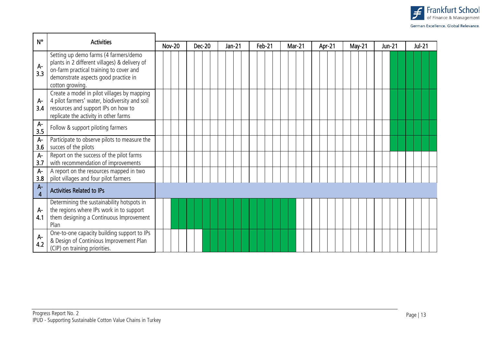| $N^{\circ}$             | <b>Activities</b>                                                                                                                                                                            |               |  |               |  |          |  |        |  |        |  |        |  |        |  |          |  |  |          |  |
|-------------------------|----------------------------------------------------------------------------------------------------------------------------------------------------------------------------------------------|---------------|--|---------------|--|----------|--|--------|--|--------|--|--------|--|--------|--|----------|--|--|----------|--|
|                         |                                                                                                                                                                                              | <b>Nov-20</b> |  | <b>Dec-20</b> |  | $Jan-21$ |  | Feb-21 |  | Mar-21 |  | Apr-21 |  | May-21 |  | $Jun-21$ |  |  | $Jul-21$ |  |
| $A -$<br>3.3            | Setting up demo farms (4 farmers/demo<br>plants in 2 different villages) & delivery of<br>on-farm practical training to cover and<br>demonstrate aspects good practice in<br>cotton growing. |               |  |               |  |          |  |        |  |        |  |        |  |        |  |          |  |  |          |  |
| A-<br>3.4               | Create a model in pilot villages by mapping<br>4 pilot farmers' water, biodiversity and soil<br>resources and support IPs on how to<br>replicate the activity in other farms                 |               |  |               |  |          |  |        |  |        |  |        |  |        |  |          |  |  |          |  |
| $A -$<br>3.5            | Follow & support piloting farmers                                                                                                                                                            |               |  |               |  |          |  |        |  |        |  |        |  |        |  |          |  |  |          |  |
| $A -$<br>3.6            | Participate to observe pilots to measure the<br>succes of the pilots                                                                                                                         |               |  |               |  |          |  |        |  |        |  |        |  |        |  |          |  |  |          |  |
| $A -$<br>3.7            | Report on the success of the pilot farms<br>with recommendation of improvements                                                                                                              |               |  |               |  |          |  |        |  |        |  |        |  |        |  |          |  |  |          |  |
| A-<br>3.8               | A report on the resources mapped in two<br>pilot villages and four pilot farmers                                                                                                             |               |  |               |  |          |  |        |  |        |  |        |  |        |  |          |  |  |          |  |
| $A -$<br>$\overline{4}$ | <b>Activities Related to IPs</b>                                                                                                                                                             |               |  |               |  |          |  |        |  |        |  |        |  |        |  |          |  |  |          |  |
| А-<br>4.1               | Determining the sustainability hotspots in<br>the regions where IPs work in to support<br>them designing a Continuous Improvement<br>Plan                                                    |               |  |               |  |          |  |        |  |        |  |        |  |        |  |          |  |  |          |  |
| A-<br>4.2               | One-to-one capacity building support to IPs<br>& Design of Continious Improvement Plan<br>(CIP) on training priorities.                                                                      |               |  |               |  |          |  |        |  |        |  |        |  |        |  |          |  |  |          |  |